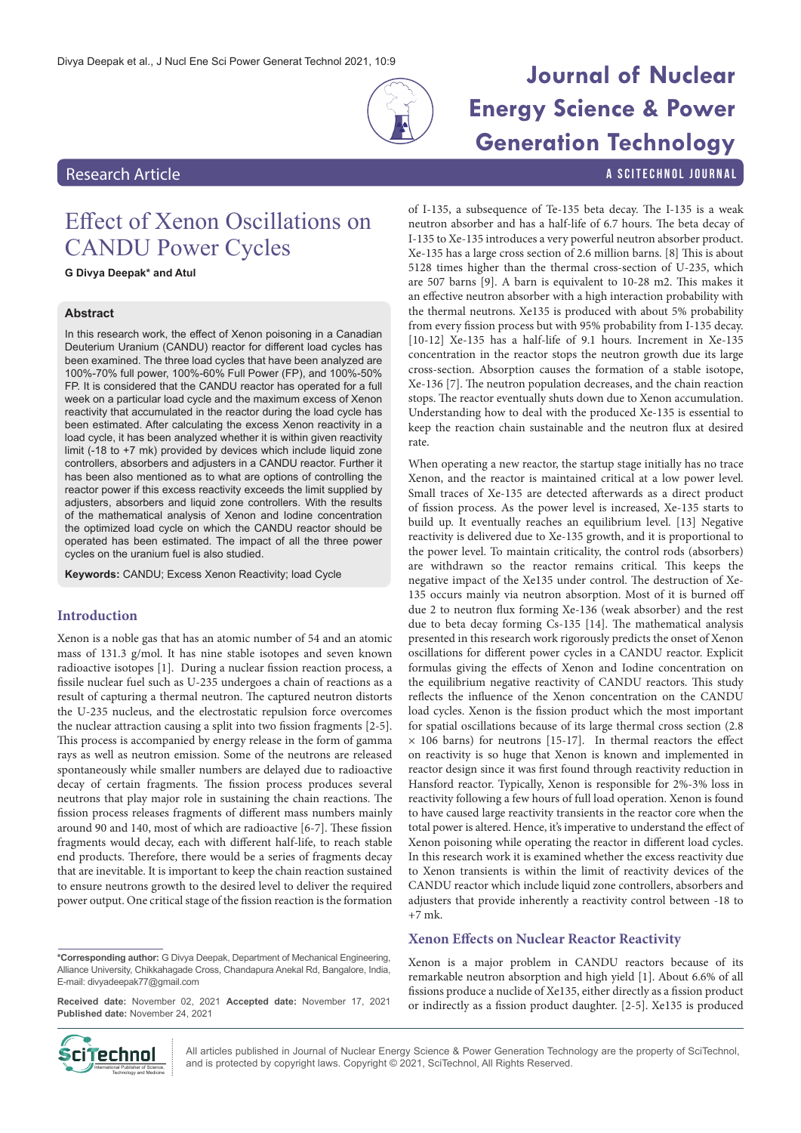

# **Journal of Nuclear**

# Effect of Xenon Oscillations on CANDU Power Cycles

**G Divya Deepak\* and Atul**

## **Abstract**

In this research work, the effect of Xenon poisoning in a Canadian Deuterium Uranium (CANDU) reactor for different load cycles has been examined. The three load cycles that have been analyzed are 100%-70% full power, 100%-60% Full Power (FP), and 100%-50% FP. It is considered that the CANDU reactor has operated for a full week on a particular load cycle and the maximum excess of Xenon reactivity that accumulated in the reactor during the load cycle has been estimated. After calculating the excess Xenon reactivity in a load cycle, it has been analyzed whether it is within given reactivity limit (-18 to +7 mk) provided by devices which include liquid zone controllers, absorbers and adjusters in a CANDU reactor. Further it has been also mentioned as to what are options of controlling the reactor power if this excess reactivity exceeds the limit supplied by adjusters, absorbers and liquid zone controllers. With the results of the mathematical analysis of Xenon and Iodine concentration the optimized load cycle on which the CANDU reactor should be operated has been estimated. The impact of all the three power cycles on the uranium fuel is also studied.

**Keywords:** CANDU; Excess Xenon Reactivity; load Cycle

# **Introduction**

Xenon is a noble gas that has an atomic number of 54 and an atomic mass of 131.3 g/mol. It has nine stable isotopes and seven known radioactive isotopes [1]. During a nuclear fission reaction process, a fissile nuclear fuel such as U-235 undergoes a chain of reactions as a result of capturing a thermal neutron. The captured neutron distorts the U-235 nucleus, and the electrostatic repulsion force overcomes the nuclear attraction causing a split into two fission fragments [2-5]. This process is accompanied by energy release in the form of gamma rays as well as neutron emission. Some of the neutrons are released spontaneously while smaller numbers are delayed due to radioactive decay of certain fragments. The fission process produces several neutrons that play major role in sustaining the chain reactions. The fission process releases fragments of different mass numbers mainly around 90 and 140, most of which are radioactive [6-7]. These fission fragments would decay, each with different half-life, to reach stable end products. Therefore, there would be a series of fragments decay that are inevitable. It is important to keep the chain reaction sustained to ensure neutrons growth to the desired level to deliver the required power output. One critical stage of the fission reaction is the formation

**\*Corresponding author:** G Divya Deepak, Department of Mechanical Engineering, Alliance University, Chikkahagade Cross, Chandapura Anekal Rd, Bangalore, India, E-mail: divyadeepak77@gmail.com

**Received date:** November 02, 2021 **Accepted date:** November 17, 2021 **Published date:** November 24, 2021



neutron absorber and has a half-life of 6.7 hours. The beta decay of I-135 to Xe-135 introduces a very powerful neutron absorber product. Xe-135 has a large cross section of 2.6 million barns. [8] This is about 5128 times higher than the thermal cross-section of U-235, which are 507 barns [9]. A barn is equivalent to 10-28 m2. This makes it an effective neutron absorber with a high interaction probability with the thermal neutrons. Xe135 is produced with about 5% probability from every fission process but with 95% probability from I-135 decay. [10-12] Xe-135 has a half-life of 9.1 hours. Increment in Xe-135 concentration in the reactor stops the neutron growth due its large cross-section. Absorption causes the formation of a stable isotope, Xe-136 [7]. The neutron population decreases, and the chain reaction stops. The reactor eventually shuts down due to Xenon accumulation. Understanding how to deal with the produced Xe-135 is essential to keep the reaction chain sustainable and the neutron flux at desired rate.

When operating a new reactor, the startup stage initially has no trace Xenon, and the reactor is maintained critical at a low power level. Small traces of Xe-135 are detected afterwards as a direct product of fission process. As the power level is increased, Xe-135 starts to build up. It eventually reaches an equilibrium level. [13] Negative reactivity is delivered due to Xe-135 growth, and it is proportional to the power level. To maintain criticality, the control rods (absorbers) are withdrawn so the reactor remains critical. This keeps the negative impact of the Xe135 under control. The destruction of Xe-135 occurs mainly via neutron absorption. Most of it is burned off due 2 to neutron flux forming Xe-136 (weak absorber) and the rest due to beta decay forming Cs-135 [14]. The mathematical analysis presented in this research work rigorously predicts the onset of Xenon oscillations for different power cycles in a CANDU reactor. Explicit formulas giving the effects of Xenon and Iodine concentration on the equilibrium negative reactivity of CANDU reactors. This study reflects the influence of the Xenon concentration on the CANDU load cycles. Xenon is the fission product which the most important for spatial oscillations because of its large thermal cross section (2.8  $\times$  106 barns) for neutrons [15-17]. In thermal reactors the effect on reactivity is so huge that Xenon is known and implemented in reactor design since it was first found through reactivity reduction in Hansford reactor. Typically, Xenon is responsible for 2%-3% loss in reactivity following a few hours of full load operation. Xenon is found to have caused large reactivity transients in the reactor core when the total power is altered. Hence, it's imperative to understand the effect of Xenon poisoning while operating the reactor in different load cycles. In this research work it is examined whether the excess reactivity due to Xenon transients is within the limit of reactivity devices of the CANDU reactor which include liquid zone controllers, absorbers and adjusters that provide inherently a reactivity control between -18 to +7 mk.

#### **Xenon Effects on Nuclear Reactor Reactivity**

Xenon is a major problem in CANDU reactors because of its remarkable neutron absorption and high yield [1]. About 6.6% of all fissions produce a nuclide of Xe135, either directly as a fission product or indirectly as a fission product daughter. [2-5]. Xe135 is produced



All articles published in Journal of Nuclear Energy Science & Power Generation Technology are the property of SciTechnol, **if Technol** All articles published in Journal of Nuclear Energy Science & Power Generation Technol, All Rights Reserved.<br>International Publisher of Science, and is protected by copyright laws. Copyright © 2021, SciTechnol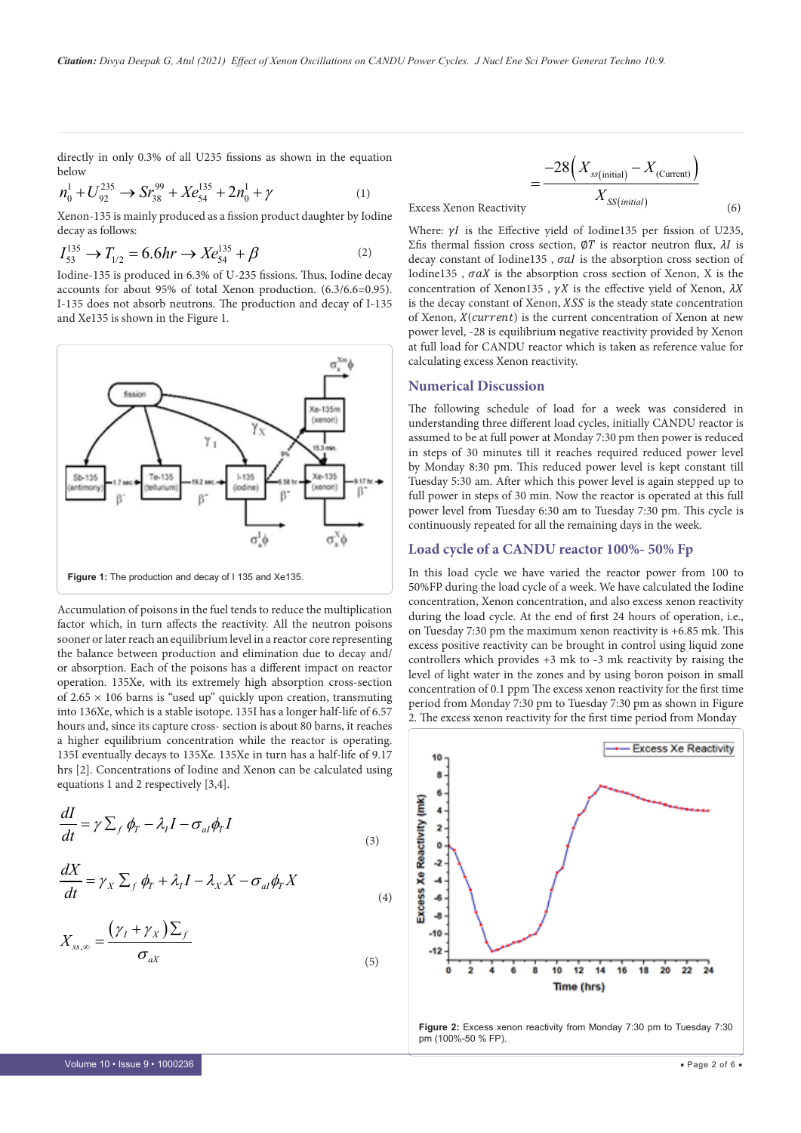directly in only 0.3% of all U235 fissions as shown in the equation below

$$
n_0^1 + U_{92}^{235} \rightarrow S r_{38}^{99} + X e_{54}^{135} + 2 n_0^1 + \gamma
$$
 (1)

Xenon-135 is mainly produced as a fission product daughter by Iodine decay as follows:

$$
I_{53}^{135} \to T_{1/2} = 6.6hr \to Xe_{54}^{135} + \beta
$$
 (2)

Iodine-135 is produced in 6.3% of U-235 fissions. Thus, Iodine decay accounts for about 95% of total Xenon production. (6.3/6.6=0.95). I-135 does not absorb neutrons. The production and decay of I-135 and Xe135 is shown in the Figure 1.



Accumulation of poisons in the fuel tends to reduce the multiplication factor which, in turn affects the reactivity. All the neutron poisons sooner or later reach an equilibrium level in a reactor core representing the balance between production and elimination due to decay and/ or absorption. Each of the poisons has a different impact on reactor operation. 135Xe, with its extremely high absorption cross-section of  $2.65 \times 106$  barns is "used up" quickly upon creation, transmuting into 136Xe, which is a stable isotope. 135I has a longer half-life of 6.57 hours and, since its capture cross- section is about 80 barns, it reaches a higher equilibrium concentration while the reactor is operating. 135I eventually decays to 135Xe. 135Xe in turn has a half-life of 9.17 hrs [2]. Concentrations of Iodine and Xenon can be calculated using equations 1 and 2 respectively [3,4].

$$
\frac{dI}{dt} = \gamma \sum_{f} \phi_{T} - \lambda_{I} I - \sigma_{al} \phi_{T} I
$$
\n(3)

$$
\frac{dX}{dt} = \gamma_X \sum_f \phi_T + \lambda_I I - \lambda_X X - \sigma_{al} \phi_T X
$$

$$
X_{ss,\infty} = \frac{(\gamma_I + \gamma_X)\sum_f}{\sigma_{aX}}
$$
\n(5)

(4)

$$
=\frac{-28\left(X_{ss(\text{initial})} - X_{(\text{Current})}\right)}{X_{SS(\text{initial})}}
$$
(6)

Excess Xenon Reactivity

 $\overline{z}$ 

Where:  $\gamma I$  is the Effective yield of Iodine135 per fission of U235, Σfis thermal fission cross section,  $\emptyset T$  is reactor neutron flux,  $\lambda I$  is decay constant of Iodine135,  $\sigma aI$  is the absorption cross section of Iodine135,  $\sigma aX$  is the absorption cross section of Xenon, X is the concentration of Xenon135,  $\gamma X$  is the effective yield of Xenon,  $\lambda X$ is the decay constant of Xenon, XSS is the steady state concentration of Xenon,  $X$ (*current*) is the current concentration of Xenon at new power level, -28 is equilibrium negative reactivity provided by Xenon at full load for CANDU reactor which is taken as reference value for calculating excess Xenon reactivity.

#### **Numerical Discussion**

The following schedule of load for a week was considered in understanding three different load cycles, initially CANDU reactor is assumed to be at full power at Monday 7:30 pm then power is reduced in steps of 30 minutes till it reaches required reduced power level by Monday 8:30 pm. This reduced power level is kept constant till Tuesday 5:30 am. After which this power level is again stepped up to full power in steps of 30 min. Now the reactor is operated at this full power level from Tuesday 6:30 am to Tuesday 7:30 pm. This cycle is continuously repeated for all the remaining days in the week.

#### **Load cycle of a CANDU reactor 100%- 50% Fp**

In this load cycle we have varied the reactor power from 100 to 50%FP during the load cycle of a week. We have calculated the Iodine concentration, Xenon concentration, and also excess xenon reactivity during the load cycle. At the end of first 24 hours of operation, i.e., on Tuesday 7:30 pm the maximum xenon reactivity is +6.85 mk. This excess positive reactivity can be brought in control using liquid zone controllers which provides +3 mk to -3 mk reactivity by raising the level of light water in the zones and by using boron poison in small concentration of 0.1 ppm The excess xenon reactivity for the first time period from Monday 7:30 pm to Tuesday 7:30 pm as shown in Figure 2. The excess xenon reactivity for the first time period from Monday

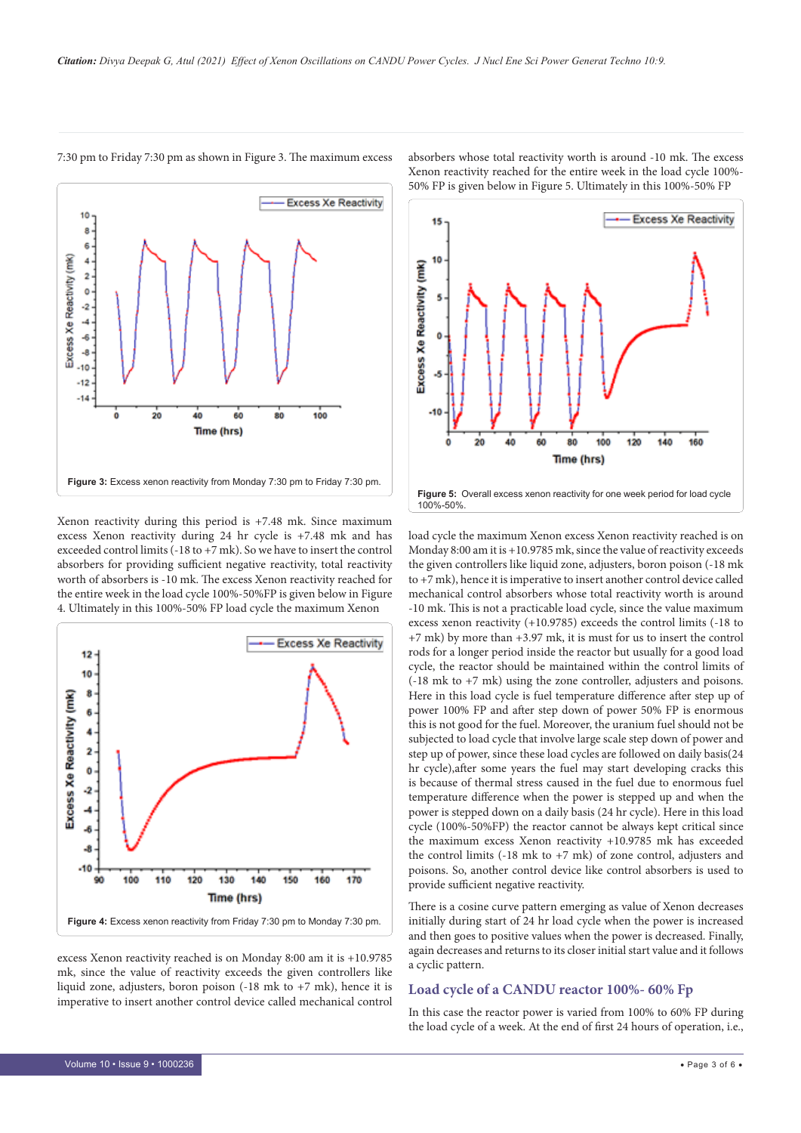

7:30 pm to Friday 7:30 pm as shown in Figure 3. The maximum excess

Xenon reactivity during this period is +7.48 mk. Since maximum excess Xenon reactivity during 24 hr cycle is +7.48 mk and has exceeded control limits (-18 to +7 mk). So we have to insert the control absorbers for providing sufficient negative reactivity, total reactivity worth of absorbers is -10 mk. The excess Xenon reactivity reached for the entire week in the load cycle 100%-50%FP is given below in Figure 4. Ultimately in this 100%-50% FP load cycle the maximum Xenon



excess Xenon reactivity reached is on Monday 8:00 am it is +10.9785 mk, since the value of reactivity exceeds the given controllers like liquid zone, adjusters, boron poison (-18 mk to +7 mk), hence it is imperative to insert another control device called mechanical control absorbers whose total reactivity worth is around -10 mk. The excess Xenon reactivity reached for the entire week in the load cycle 100%- 50% FP is given below in Figure 5. Ultimately in this 100%-50% FP



load cycle the maximum Xenon excess Xenon reactivity reached is on Monday 8:00 am it is +10.9785 mk, since the value of reactivity exceeds the given controllers like liquid zone, adjusters, boron poison (-18 mk to +7 mk), hence it is imperative to insert another control device called mechanical control absorbers whose total reactivity worth is around -10 mk. This is not a practicable load cycle, since the value maximum excess xenon reactivity (+10.9785) exceeds the control limits (-18 to +7 mk) by more than +3.97 mk, it is must for us to insert the control rods for a longer period inside the reactor but usually for a good load cycle, the reactor should be maintained within the control limits of (-18 mk to +7 mk) using the zone controller, adjusters and poisons. Here in this load cycle is fuel temperature difference after step up of power 100% FP and after step down of power 50% FP is enormous this is not good for the fuel. Moreover, the uranium fuel should not be subjected to load cycle that involve large scale step down of power and step up of power, since these load cycles are followed on daily basis(24 hr cycle),after some years the fuel may start developing cracks this is because of thermal stress caused in the fuel due to enormous fuel temperature difference when the power is stepped up and when the power is stepped down on a daily basis (24 hr cycle). Here in this load cycle (100%-50%FP) the reactor cannot be always kept critical since the maximum excess Xenon reactivity +10.9785 mk has exceeded the control limits (-18 mk to +7 mk) of zone control, adjusters and poisons. So, another control device like control absorbers is used to provide sufficient negative reactivity.

There is a cosine curve pattern emerging as value of Xenon decreases initially during start of 24 hr load cycle when the power is increased and then goes to positive values when the power is decreased. Finally, again decreases and returns to its closer initial start value and it follows a cyclic pattern.

## **Load cycle of a CANDU reactor 100%- 60% Fp**

In this case the reactor power is varied from 100% to 60% FP during the load cycle of a week. At the end of first 24 hours of operation, i.e.,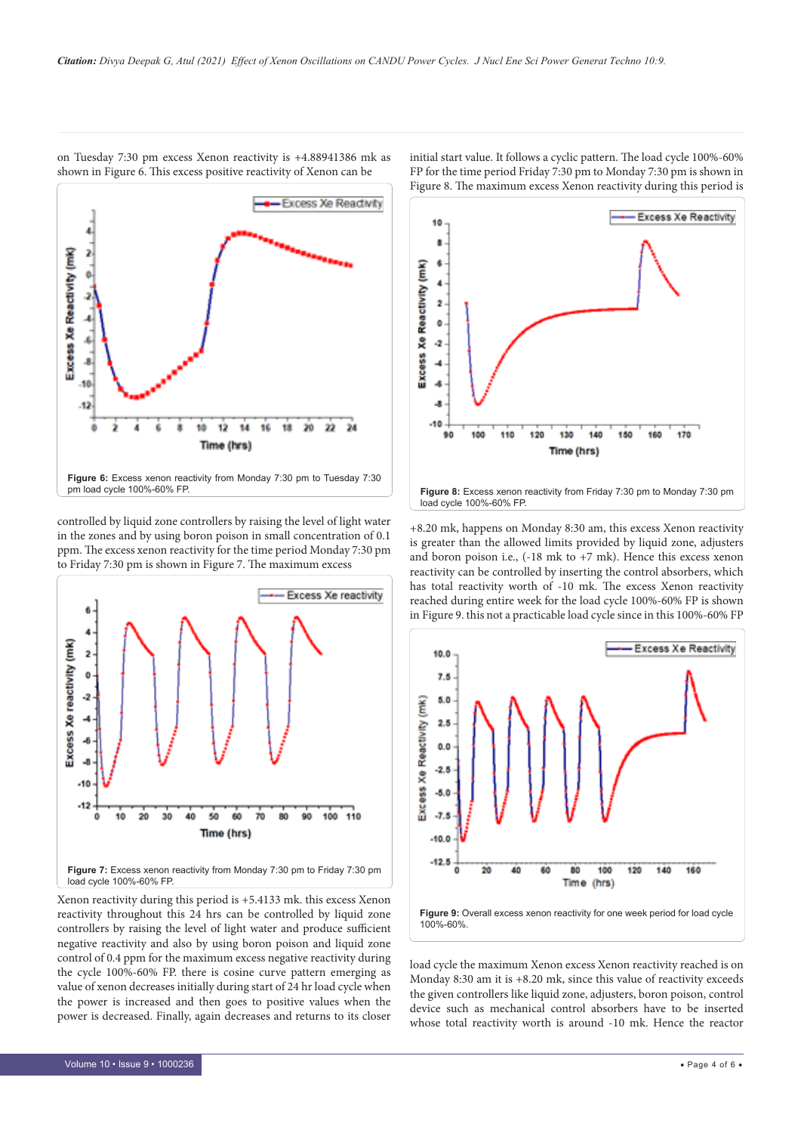

on Tuesday 7:30 pm excess Xenon reactivity is +4.88941386 mk as shown in Figure 6. This excess positive reactivity of Xenon can be

controlled by liquid zone controllers by raising the level of light water in the zones and by using boron poison in small concentration of 0.1 ppm. The excess xenon reactivity for the time period Monday 7:30 pm to Friday 7:30 pm is shown in Figure 7. The maximum excess



Xenon reactivity during this period is +5.4133 mk. this excess Xenon reactivity throughout this 24 hrs can be controlled by liquid zone controllers by raising the level of light water and produce sufficient negative reactivity and also by using boron poison and liquid zone control of 0.4 ppm for the maximum excess negative reactivity during the cycle 100%-60% FP. there is cosine curve pattern emerging as value of xenon decreases initially during start of 24 hr load cycle when the power is increased and then goes to positive values when the power is decreased. Finally, again decreases and returns to its closer initial start value. It follows a cyclic pattern. The load cycle 100%-60% FP for the time period Friday 7:30 pm to Monday 7:30 pm is shown in Figure 8. The maximum excess Xenon reactivity during this period is



+8.20 mk, happens on Monday 8:30 am, this excess Xenon reactivity is greater than the allowed limits provided by liquid zone, adjusters and boron poison i.e., (-18 mk to +7 mk). Hence this excess xenon reactivity can be controlled by inserting the control absorbers, which has total reactivity worth of -10 mk. The excess Xenon reactivity reached during entire week for the load cycle 100%-60% FP is shown in Figure 9. this not a practicable load cycle since in this 100%-60% FP



load cycle the maximum Xenon excess Xenon reactivity reached is on Monday 8:30 am it is +8.20 mk, since this value of reactivity exceeds the given controllers like liquid zone, adjusters, boron poison, control device such as mechanical control absorbers have to be inserted whose total reactivity worth is around -10 mk. Hence the reactor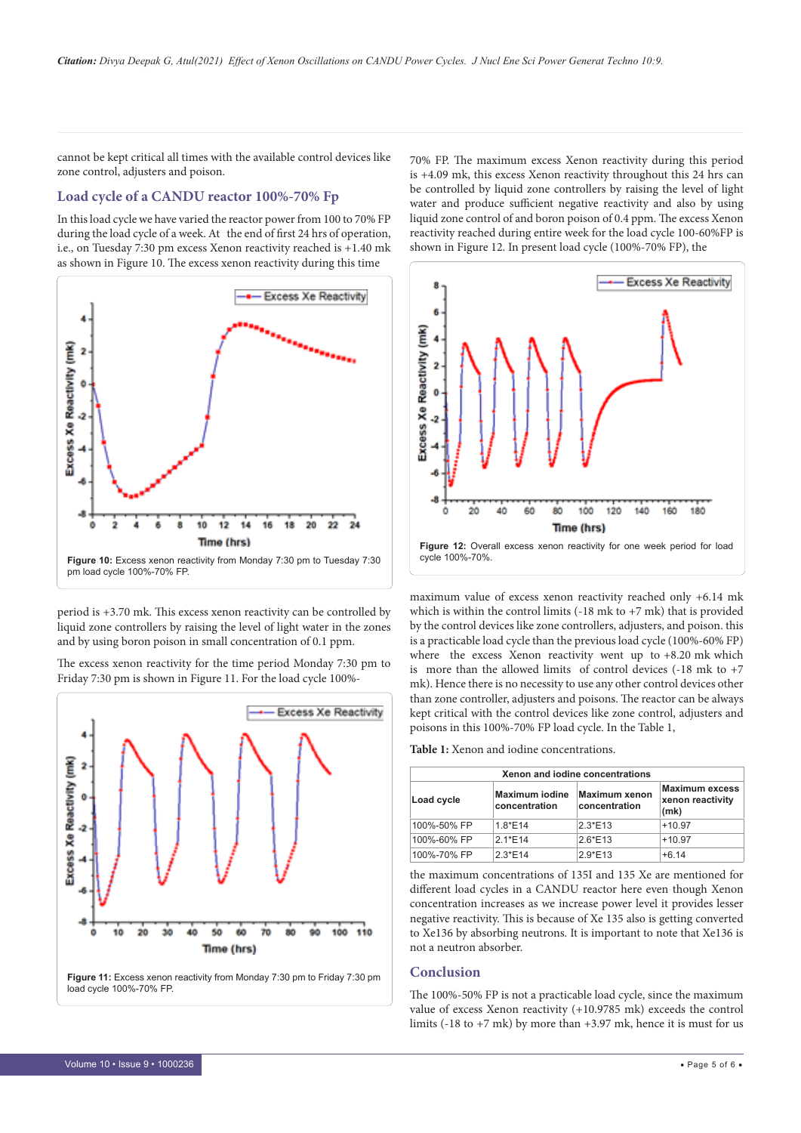cannot be kept critical all times with the available control devices like zone control, adjusters and poison.

# **Load cycle of a CANDU reactor 100%-70% Fp**

In this load cycle we have varied the reactor power from 100 to 70% FP during the load cycle of a week. At the end of first 24 hrs of operation, i.e., on Tuesday 7:30 pm excess Xenon reactivity reached is +1.40 mk as shown in Figure 10. The excess xenon reactivity during this time



period is +3.70 mk. This excess xenon reactivity can be controlled by liquid zone controllers by raising the level of light water in the zones and by using boron poison in small concentration of 0.1 ppm.

**Excess Xe Reactivity** Reactivity (mk) **Cess Xe** ۹Ò  $\dot{20}$ 30 40 50 ŵ  $\dot{v}$ 100 110 90 Time (hrs)

The excess xenon reactivity for the time period Monday 7:30 pm to Friday 7:30 pm is shown in Figure 11. For the load cycle 100%-

**Figure 11:** Excess xenon reactivity from Monday 7:30 pm to Friday 7:30 pm load cycle 100%-70% FP.

70% FP. The maximum excess Xenon reactivity during this period is +4.09 mk, this excess Xenon reactivity throughout this 24 hrs can be controlled by liquid zone controllers by raising the level of light water and produce sufficient negative reactivity and also by using liquid zone control of and boron poison of 0.4 ppm. The excess Xenon reactivity reached during entire week for the load cycle 100-60%FP is shown in Figure 12. In present load cycle (100%-70% FP), the



maximum value of excess xenon reactivity reached only +6.14 mk which is within the control limits  $(-18 \text{ mk to } +7 \text{ mk})$  that is provided by the control devices like zone controllers, adjusters, and poison. this is a practicable load cycle than the previous load cycle (100%-60% FP) where the excess Xenon reactivity went up to +8.20 mk which is more than the allowed limits of control devices (-18 mk to +7 mk). Hence there is no necessity to use any other control devices other than zone controller, adjusters and poisons. The reactor can be always kept critical with the control devices like zone control, adjusters and poisons in this 100%-70% FP load cycle. In the Table 1,

**Table 1:** Xenon and iodine concentrations.

| Xenon and jodine concentrations |                                        |                                       |                                                   |
|---------------------------------|----------------------------------------|---------------------------------------|---------------------------------------------------|
| Load cycle                      | <b>Maximum iodine</b><br>concentration | <b>Maximum xenon</b><br>concentration | <b>Maximum excess</b><br>xenon reactivity<br>(mk) |
| 100%-50% FP                     | $1.8*E14$                              | $2.3*E13$                             | $+10.97$                                          |
| 100%-60% FP                     | $2.1*E14$                              | $2.6*E13$                             | $+10.97$                                          |
| 100%-70% FP                     | $2.3*E14$                              | $2.9*E13$                             | $+6.14$                                           |

the maximum concentrations of 135I and 135 Xe are mentioned for different load cycles in a CANDU reactor here even though Xenon concentration increases as we increase power level it provides lesser negative reactivity. This is because of Xe 135 also is getting converted to Xe136 by absorbing neutrons. It is important to note that Xe136 is not a neutron absorber.

# **Conclusion**

The 100%-50% FP is not a practicable load cycle, since the maximum value of excess Xenon reactivity (+10.9785 mk) exceeds the control limits (-18 to  $+7$  mk) by more than  $+3.97$  mk, hence it is must for us